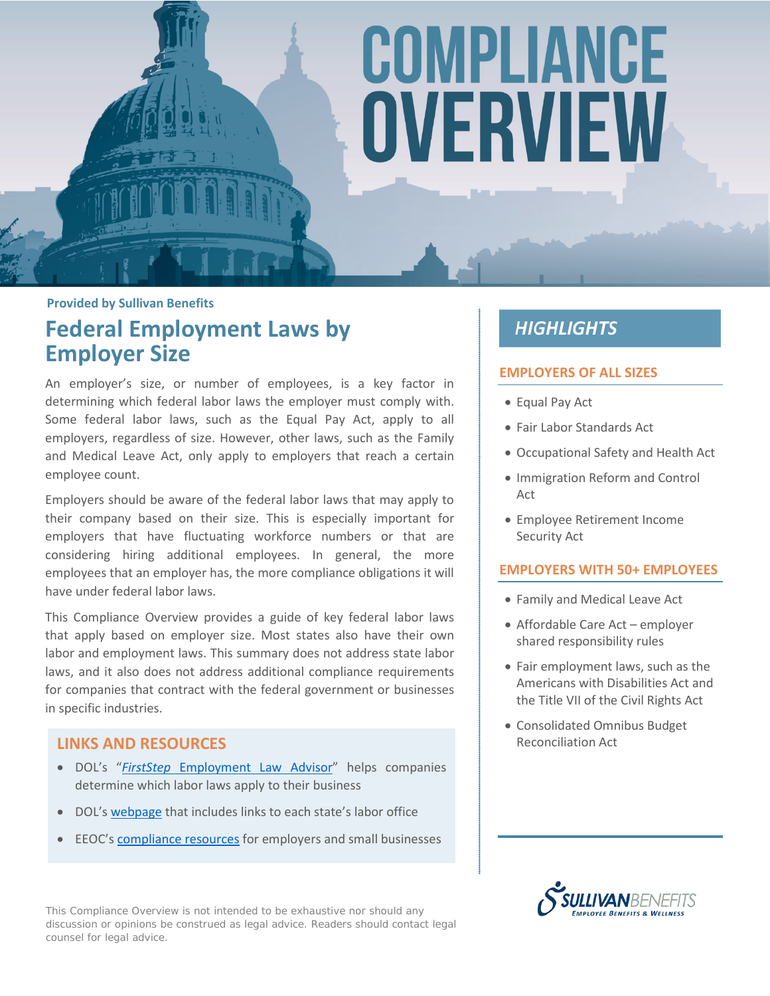# COMPLIANCE OVERVIEW

**Provided by Sullivan Benefits**

### **Federal Employment Laws by Employer Size**

An employer's size, or number of employees, is a key factor in determining which federal labor laws the employer must comply with. Some federal labor laws, such as the Equal Pay Act, apply to all employers, regardless of size. However, other laws, such as the Family and Medical Leave Act, only apply to employers that reach a certain employee count.

Employers should be aware of the federal labor laws that may apply to their company based on their size. This is especially important for employers that have fluctuating workforce numbers or that are considering hiring additional employees. In general, the more employees that an employer has, the more compliance obligations it will have under federal labor laws.

This Compliance Overview provides a guide of key federal labor laws that apply based on employer size. Most states also have their own labor and employment laws. This summary does not address state labor laws, and it also does not address additional compliance requirements for companies that contract with the federal government or businesses in specific industries.

#### **LINKS AND RESOURCES**

- DOL's "*FirstStep* [Employment Law Advisor"](http://webapps.dol.gov/elaws/firststep/) helps companies determine which labor laws apply to their business
- DOL's [webpage](https://www.dol.gov/whd/contacts/state_of.htm) that includes links to each state's labor office
- EEOC's [compliance resources](https://www.eeoc.gov/employers/index.cfm) for employers and small businesses

This Compliance Overview is not intended to be exhaustive nor should any discussion or opinions be construed as legal advice. Readers should contact legal counsel for legal advice.

### **HIGHLIGHTS**

#### **EMPLOYERS OF ALL SIZES**

- Equal Pay Act
- Fair Labor Standards Act
- Occupational Safety and Health Act
- Immigration Reform and Control Act
- Employee Retirement Income Security Act

#### **EMPLOYERS WITH 50+ EMPLOYEES**

- Family and Medical Leave Act
- Affordable Care Act employer shared responsibility rules
- Fair employment laws, such as the Americans with Disabilities Act and the Title VII of the Civil Rights Act
- Consolidated Omnibus Budget Reconciliation Act

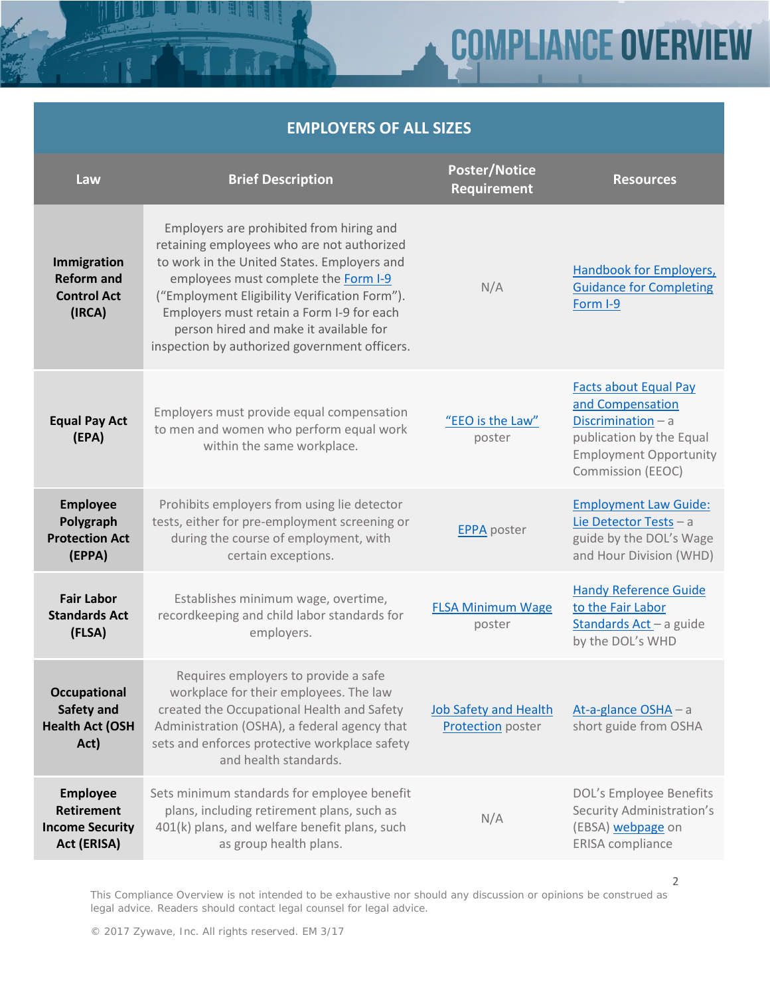### **COMPLIANCE OVERVIEW**

### **EMPLOYERS OF ALL SIZES**

| Law                                                                           | <b>Brief Description</b>                                                                                                                                                                                                                                                                                                                                               | <b>Poster/Notice</b><br><b>Requirement</b>                             | <b>Resources</b>                                                                                                                                                  |
|-------------------------------------------------------------------------------|------------------------------------------------------------------------------------------------------------------------------------------------------------------------------------------------------------------------------------------------------------------------------------------------------------------------------------------------------------------------|------------------------------------------------------------------------|-------------------------------------------------------------------------------------------------------------------------------------------------------------------|
| Immigration<br><b>Reform and</b><br><b>Control Act</b><br>(IRCA)              | Employers are prohibited from hiring and<br>retaining employees who are not authorized<br>to work in the United States. Employers and<br>employees must complete the Form I-9<br>("Employment Eligibility Verification Form").<br>Employers must retain a Form I-9 for each<br>person hired and make it available for<br>inspection by authorized government officers. | N/A                                                                    | <b>Handbook for Employers,</b><br><b>Guidance for Completing</b><br>Form I-9                                                                                      |
| <b>Equal Pay Act</b><br>(EPA)                                                 | Employers must provide equal compensation<br>to men and women who perform equal work<br>within the same workplace.                                                                                                                                                                                                                                                     | "EEO is the Law"<br>poster                                             | <b>Facts about Equal Pay</b><br>and Compensation<br>Discrimination $-$ a<br>publication by the Equal<br><b>Employment Opportunity</b><br><b>Commission (EEOC)</b> |
| <b>Employee</b><br>Polygraph<br><b>Protection Act</b><br>(EPPA)               | Prohibits employers from using lie detector<br>tests, either for pre-employment screening or<br>during the course of employment, with<br>certain exceptions.                                                                                                                                                                                                           | <b>EPPA</b> poster                                                     | <b>Employment Law Guide:</b><br>Lie Detector Tests - a<br>guide by the DOL's Wage<br>and Hour Division (WHD)                                                      |
| <b>Fair Labor</b><br><b>Standards Act</b><br>(FLSA)                           | Establishes minimum wage, overtime,<br>recordkeeping and child labor standards for<br>employers.                                                                                                                                                                                                                                                                       | <b>FLSA Minimum Wage</b><br>poster                                     | <b>Handy Reference Guide</b><br>to the Fair Labor<br>Standards Act - a guide<br>by the DOL's WHD                                                                  |
| <b>Occupational</b><br>Safety and<br><b>Health Act (OSH</b><br>Act)           | Requires employers to provide a safe<br>workplace for their employees. The law<br>created the Occupational Health and Safety<br>Administration (OSHA), a federal agency that<br>sets and enforces protective workplace safety<br>and health standards.                                                                                                                 | Job Safety and Health At-a-glance OSHA - a<br><b>Protection</b> poster | short guide from OSHA                                                                                                                                             |
| <b>Employee</b><br><b>Retirement</b><br><b>Income Security</b><br>Act (ERISA) | Sets minimum standards for employee benefit<br>plans, including retirement plans, such as<br>401(k) plans, and welfare benefit plans, such<br>as group health plans.                                                                                                                                                                                                   | N/A                                                                    | DOL's Employee Benefits<br>Security Administration's<br>(EBSA) webpage on<br><b>ERISA</b> compliance                                                              |

This Compliance Overview is not intended to be exhaustive nor should any discussion or opinions be construed as legal advice. Readers should contact legal counsel for legal advice.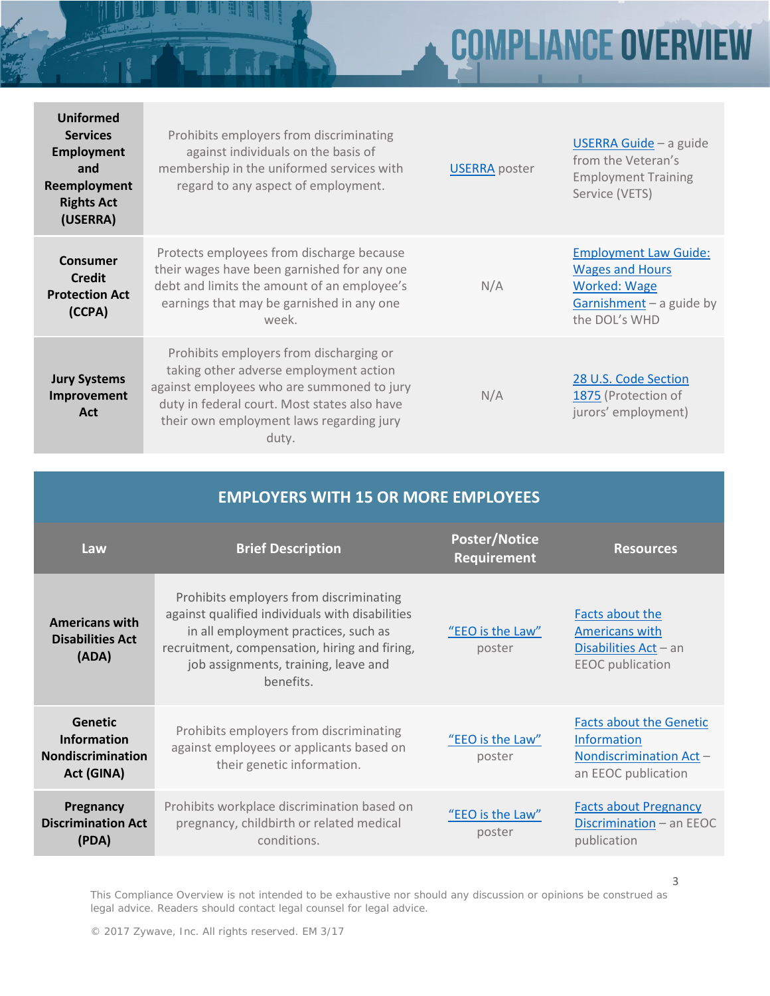# **COMPLIANCE OVERVIEW**

| <b>Uniformed</b><br><b>Services</b><br><b>Employment</b><br>and<br>Reemployment<br><b>Rights Act</b><br>(USERRA) | Prohibits employers from discriminating<br>against individuals on the basis of<br>membership in the uniformed services with<br>regard to any aspect of employment.                                                                   | <b>USERRA</b> poster | USERRA Guide - a guide<br>from the Veteran's<br><b>Employment Training</b><br>Service (VETS)                                 |
|------------------------------------------------------------------------------------------------------------------|--------------------------------------------------------------------------------------------------------------------------------------------------------------------------------------------------------------------------------------|----------------------|------------------------------------------------------------------------------------------------------------------------------|
| Consumer<br><b>Credit</b><br><b>Protection Act</b><br>(CCPA)                                                     | Protects employees from discharge because<br>their wages have been garnished for any one<br>debt and limits the amount of an employee's<br>earnings that may be garnished in any one<br>week.                                        | N/A                  | <b>Employment Law Guide:</b><br><b>Wages and Hours</b><br><b>Worked: Wage</b><br>Garnishment $-$ a guide by<br>the DOL's WHD |
| <b>Jury Systems</b><br><b>Improvement</b><br>Act                                                                 | Prohibits employers from discharging or<br>taking other adverse employment action<br>against employees who are summoned to jury<br>duty in federal court. Most states also have<br>their own employment laws regarding jury<br>duty. | N/A                  | 28 U.S. Code Section<br>1875 (Protection of<br>jurors' employment)                                                           |

| <b>EMPLOYERS WITH 15 OR MORE EMPLOYEES</b>                                     |                                                                                                                                                                                                                                          |                                            |                                                                                                        |
|--------------------------------------------------------------------------------|------------------------------------------------------------------------------------------------------------------------------------------------------------------------------------------------------------------------------------------|--------------------------------------------|--------------------------------------------------------------------------------------------------------|
| Law                                                                            | <b>Brief Description</b>                                                                                                                                                                                                                 | <b>Poster/Notice</b><br><b>Requirement</b> | <b>Resources</b>                                                                                       |
| <b>Americans with</b><br><b>Disabilities Act</b><br>(ADA)                      | Prohibits employers from discriminating<br>against qualified individuals with disabilities<br>in all employment practices, such as<br>recruitment, compensation, hiring and firing,<br>job assignments, training, leave and<br>benefits. | "EEO is the Law"<br>poster                 | Facts about the<br>Americans with<br>Disabilities $Act - an$<br><b>EEOC</b> publication                |
| <b>Genetic</b><br><b>Information</b><br><b>Nondiscrimination</b><br>Act (GINA) | Prohibits employers from discriminating<br>against employees or applicants based on<br>their genetic information.                                                                                                                        | "EEO is the Law"<br>poster                 | <b>Facts about the Genetic</b><br><b>Information</b><br>Nondiscrimination Act -<br>an EEOC publication |
| Pregnancy<br><b>Discrimination Act</b><br>(PDA)                                | Prohibits workplace discrimination based on<br>pregnancy, childbirth or related medical<br>conditions.                                                                                                                                   | "EEO is the Law"<br>poster                 | <b>Facts about Pregnancy</b><br>Discrimination - an EEOC<br>publication                                |

This Compliance Overview is not intended to be exhaustive nor should any discussion or opinions be construed as legal advice. Readers should contact legal counsel for legal advice.

3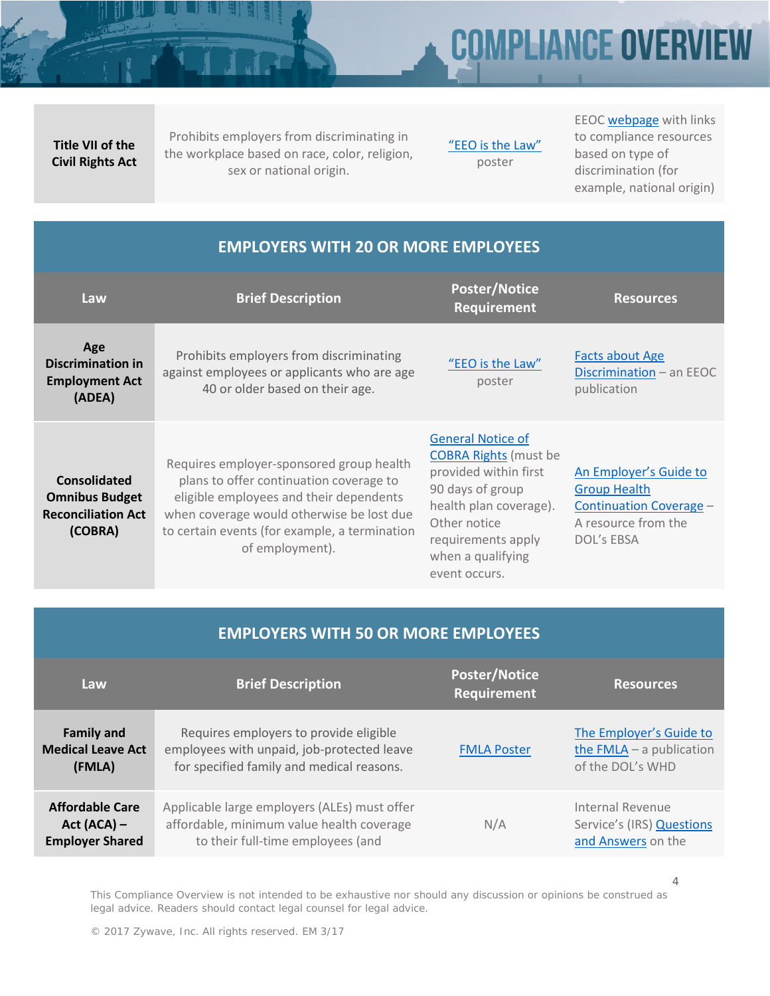## **COMPLIANCE OVERVIEW**

**Title VII of the Civil Rights Act**

Prohibits employers from discriminating in the workplace based on race, color, religion, sex or national origin.

["EEO is the Law"](https://www.dol.gov/ofccp/regs/compliance/posters/ofccpost.htm) poster

EEO[C webpage](https://www.eeoc.gov/laws/index.cfm) with links to compliance resources based on type of discrimination (for example, national origin)

| <b>EMPLOYERS WITH 20 OR MORE EMPLOYEES</b>                                           |                                                                                                                                                                                                                                                 |                                                                                                                                                                                                             |                                                                                                                      |
|--------------------------------------------------------------------------------------|-------------------------------------------------------------------------------------------------------------------------------------------------------------------------------------------------------------------------------------------------|-------------------------------------------------------------------------------------------------------------------------------------------------------------------------------------------------------------|----------------------------------------------------------------------------------------------------------------------|
| Law                                                                                  | <b>Brief Description</b>                                                                                                                                                                                                                        | <b>Poster/Notice</b><br><b>Requirement</b>                                                                                                                                                                  | <b>Resources</b>                                                                                                     |
| Age<br><b>Discrimination in</b><br><b>Employment Act</b><br>(ADEA)                   | Prohibits employers from discriminating<br>against employees or applicants who are age<br>40 or older based on their age.                                                                                                                       | "EEO is the Law"<br>poster                                                                                                                                                                                  | <b>Facts about Age</b><br>Discrimination - an EEOC<br>publication                                                    |
| <b>Consolidated</b><br><b>Omnibus Budget</b><br><b>Reconciliation Act</b><br>(COBRA) | Requires employer-sponsored group health<br>plans to offer continuation coverage to<br>eligible employees and their dependents<br>when coverage would otherwise be lost due<br>to certain events (for example, a termination<br>of employment). | <b>General Notice of</b><br><b>COBRA Rights</b> (must be<br>provided within first<br>90 days of group<br>health plan coverage).<br>Other notice<br>requirements apply<br>when a qualifying<br>event occurs. | An Employer's Guide to<br><b>Group Health</b><br><b>Continuation Coverage -</b><br>A resource from the<br>DOL's EBSA |

| <b>EMPLOYERS WITH 50 OR MORE EMPLOYEES</b> |                                              |                                            |                            |
|--------------------------------------------|----------------------------------------------|--------------------------------------------|----------------------------|
| Law                                        | <b>Brief Description</b>                     | <b>Poster/Notice</b><br><b>Requirement</b> | <b>Resources</b>           |
| <b>Family and</b>                          | Requires employers to provide eligible       | <b>FMLA Poster</b>                         | The Employer's Guide to    |
| <b>Medical Leave Act</b>                   | employees with unpaid, job-protected leave   |                                            | the $FMLA - a$ publication |
| (FMLA)                                     | for specified family and medical reasons.    |                                            | of the DOL's WHD           |
| <b>Affordable Care</b>                     | Applicable large employers (ALEs) must offer | N/A                                        | Internal Revenue           |
| $Act (ACA) -$                              | affordable, minimum value health coverage    |                                            | Service's (IRS) Questions  |
| <b>Employer Shared</b>                     | to their full-time employees (and            |                                            | and Answers on the         |

This Compliance Overview is not intended to be exhaustive nor should any discussion or opinions be construed as legal advice. Readers should contact legal counsel for legal advice.

4